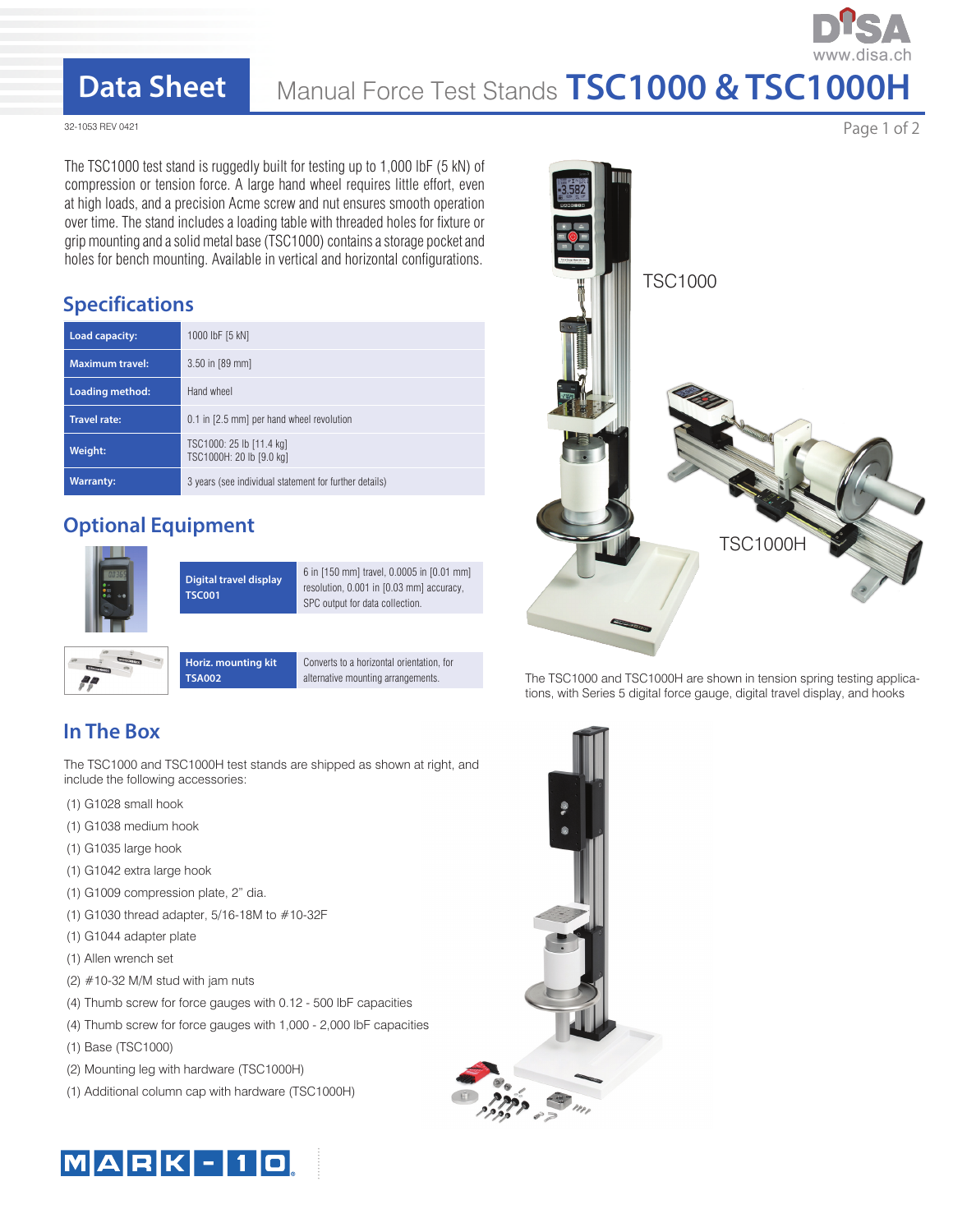## **Data Sheet**

# Manual Force Test Stands **TSC1000 & TSC1000H**

32-1053 REV 0421

The TSC1000 test stand is ruggedly built for testing up to 1,000 lbF (5 kN) of compression or tension force. A large hand wheel requires little effort, even at high loads, and a precision Acme screw and nut ensures smooth operation over time. The stand includes a loading table with threaded holes for fixture or grip mounting and a solid metal base (TSC1000) contains a storage pocket and holes for bench mounting. Available in vertical and horizontal configurations.

### **Specifications**

| Load capacity:         | 1000 lbF [5 kN]                                        |
|------------------------|--------------------------------------------------------|
| <b>Maximum travel:</b> | $3.50$ in [89 mm]                                      |
| Loading method:        | Hand wheel                                             |
| <b>Travel rate:</b>    | 0.1 in [2.5 mm] per hand wheel revolution              |
| Weight:                | TSC1000: 25 lb [11.4 kg]<br>TSC1000H: 20 lb [9.0 kg]   |
| <b>Warranty:</b>       | 3 years (see individual statement for further details) |

### **Optional Equipment**



|  |  | Hor        |
|--|--|------------|
|  |  | <b>TSA</b> |
|  |  |            |

**Horiz. mounting kit**  Converts to a horizontal orientation, for alternative mounting arrangements.

## **In The Box**

The TSC1000 and TSC1000H test stands are shipped as shown at right, and include the following accessories:

- (1) G1028 small hook
- (1) G1038 medium hook
- (1) G1035 large hook
- (1) G1042 extra large hook
- (1) G1009 compression plate, 2" dia.
- (1) G1030 thread adapter, 5/16-18M to #10-32F

**TSA002**

- (1) G1044 adapter plate
- (1) Allen wrench set
- (2)  $#10-32$  M/M stud with jam nuts
- (4) Thumb screw for force gauges with 0.12 500 lbF capacities
- (4) Thumb screw for force gauges with 1,000 2,000 lbF capacities
- (1) Base (TSC1000)
- (2) Mounting leg with hardware (TSC1000H)
- (1) Additional column cap with hardware (TSC1000H)





The TSC1000 and TSC1000H are shown in tension spring testing applications, with Series 5 digital force gauge, digital travel display, and hooks



Page 1 of 2